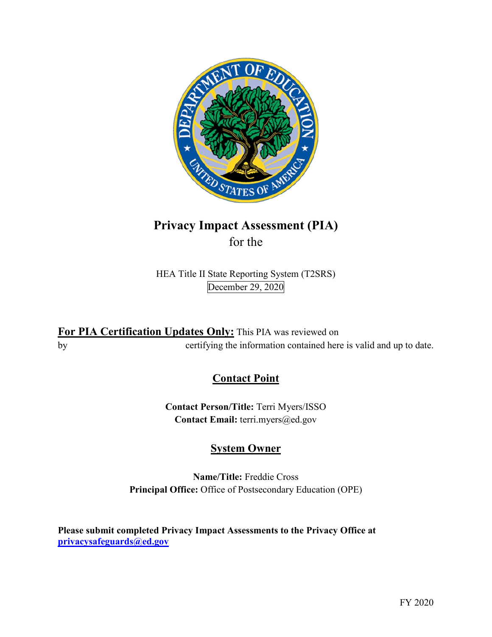

# **Privacy Impact Assessment (PIA)**  for the

HEA Title II State Reporting System (T2SRS) December 29, 2020

 **For PIA Certification Updates Only:** This PIA was reviewed on by certifying the information contained here is valid and up to date.

## **Contact Point**

**Contact Person/Title:** Terri Myers/ISSO **Contact Email:** [terri.myers@ed.gov](mailto:terri.myers@ed.gov)

# **System Owner**

**Name/Title:** Freddie Cross **Principal Office:** Office of Postsecondary Education (OPE)

 **[privacysafeguards@ed.gov](mailto:privacysafeguards@ed.gov) Please submit completed Privacy Impact Assessments to the Privacy Office at**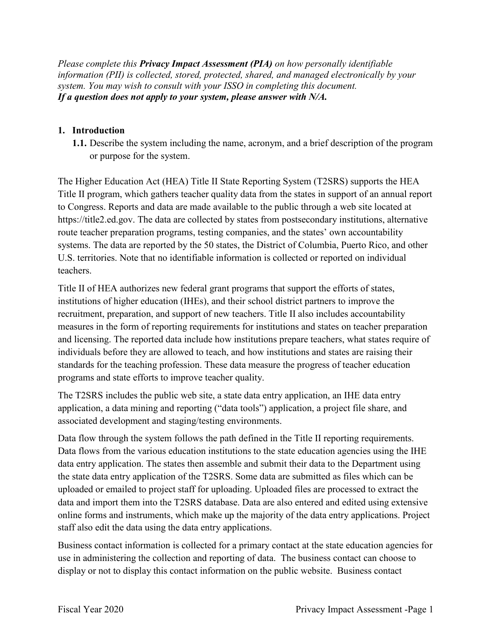*Please complete this Privacy Impact Assessment (PIA) on how personally identifiable information (PII) is collected, stored, protected, shared, and managed electronically by your system. You may wish to consult with your ISSO in completing this document. If a question does not apply to your system, please answer with N/A.* 

### **1. Introduction**

or purpose for the system. **1.1.** Describe the system including the name, acronym, and a brief description of the program

 <https://title2.ed.gov>. The data are collected by states from postsecondary institutions, alternative The Higher Education Act (HEA) Title II State Reporting System (T2SRS) supports the HEA Title II program, which gathers teacher quality data from the states in support of an annual report to Congress. Reports and data are made available to the public through a web site located at route teacher preparation programs, testing companies, and the states' own accountability systems. The data are reported by the 50 states, the District of Columbia, Puerto Rico, and other U.S. territories. Note that no identifiable information is collected or reported on individual teachers.

 Title II of HEA authorizes new federal grant programs that support the efforts of states, institutions of higher education (IHEs), and their school district partners to improve the recruitment, preparation, and support of new teachers. Title II also includes accountability measures in the form of reporting requirements for institutions and states on teacher preparation and licensing. The reported data include how institutions prepare teachers, what states require of individuals before they are allowed to teach, and how institutions and states are raising their standards for the teaching profession. These data measure the progress of teacher education programs and state efforts to improve teacher quality.

 The T2SRS includes the public web site, a state data entry application, an IHE data entry associated development and staging/testing environments. application, a data mining and reporting ("data tools") application, a project file share, and

 Data flows from the various education institutions to the state education agencies using the IHE Data flow through the system follows the path defined in the Title II reporting requirements. data entry application. The states then assemble and submit their data to the Department using the state data entry application of the T2SRS. Some data are submitted as files which can be uploaded or emailed to project staff for uploading. Uploaded files are processed to extract the data and import them into the T2SRS database. Data are also entered and edited using extensive online forms and instruments, which make up the majority of the data entry applications. Project staff also edit the data using the data entry applications.

Business contact information is collected for a primary contact at the state education agencies for use in administering the collection and reporting of data. The business contact can choose to display or not to display this contact information on the public website. Business contact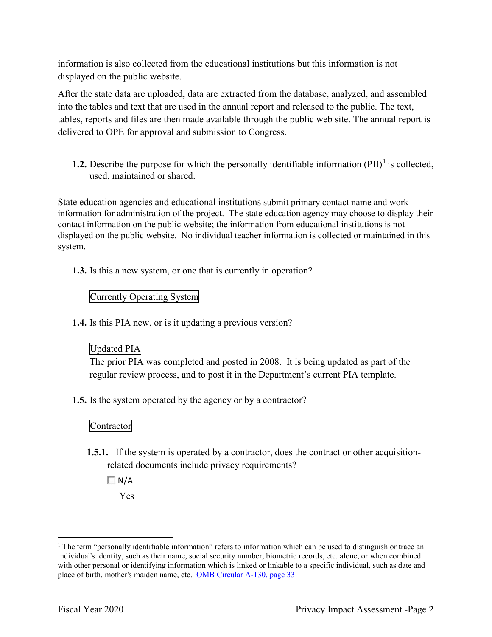displayed on the public website. information is also collected from the educational institutions but this information is not

 After the state data are uploaded, data are extracted from the database, analyzed, and assembled into the tables and text that are used in the annual report and released to the public. The text, tables, reports and files are then made available through the public web site. The annual report is delivered to OPE for approval and submission to Congress.

**1.2.** Describe the purpose for which the personally identifiable information  $(PII)^{1}$  is collected, used, maintained or shared.

 displayed on the public website. No individual teacher information is collected or maintained in this State education agencies and educational institutions submit primary contact name and work information for administration of the project. The state education agency may choose to display their contact information on the public website; the information from educational institutions is not system.

**1.3.** Is this a new system, or one that is currently in operation?

### Currently Operating System

**1.4.** Is this PIA new, or is it updating a previous version?

### Updated PIA

 The prior PIA was completed and posted in 2008. It is being updated as part of the regular review process, and to post it in the Department's current PIA template.

**1.5.** Is the system operated by the agency or by a contractor?

### Contractor

**1.5.1.** If the system is operated by a contractor, does the contract or other acquisitionrelated documents include privacy requirements?

 $\Box N/A$ 

Yes

 $\overline{a}$ 

place of birth, mother's maiden name, etc. OMB Circular A-130, page 33 <sup>1</sup> The term "personally identifiable information" refers to information which can be used to distinguish or trace an individual's identity, such as their name, social security number, biometric records, etc. alone, or when combined with other personal or identifying information which is linked or linkable to a specific individual, such as date and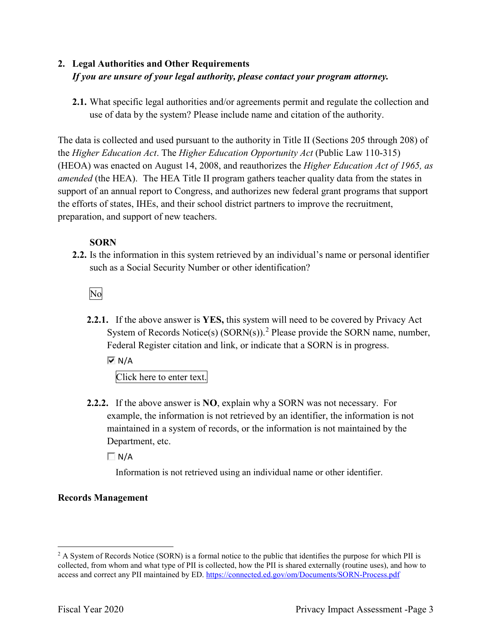## **2. Legal Authorities and Other Requirements**  *If you are unsure of your legal authority, please contact your program attorney.*

 use of data by the system? Please include name and citation of the authority. **2.1.** What specific legal authorities and/or agreements permit and regulate the collection and

 the *Higher Education Act*. The *Higher Education Opportunity Act* (Public Law 110-315) *amended* (the HEA). The HEA Title II program gathers teacher quality data from the states in The data is collected and used pursuant to the authority in Title II (Sections 205 through 208) of (HEOA) was enacted on August 14, 2008, and reauthorizes the *Higher Education Act of 1965, as*  support of an annual report to Congress, and authorizes new federal grant programs that support the efforts of states, IHEs, and their school district partners to improve the recruitment, preparation, and support of new teachers.

### **SORN**

 such as a Social Security Number or other identification? **2.2.** Is the information in this system retrieved by an individual's name or personal identifier

No

**2.2.1.** If the above answer is **YES,** this system will need to be covered by Privacy Act System of Records Notice(s)  $(SORN(s))$ .<sup>2</sup> Please provide the SORN name, number, Federal Register citation and link, or indicate that a SORN is in progress.

 $\overline{M}$  N/A

Click here to enter text.

 **2.2.2.** If the above answer is **NO**, explain why a SORN was not necessary. For Department, etc. example, the information is not retrieved by an identifier, the information is not maintained in a system of records, or the information is not maintained by the

 $\Box$  N/A

Information is not retrieved using an individual name or other identifier.

### **Records Management**

 $\overline{a}$  collected, from whom and what type of PII is collected, how the PII is shared externally (routine uses), and how to access and correct any PII maintained by ED. https://connected.ed.gov/om/Documents/SORN-Process.pdf<br>Fiscal Year 2020 Privacy Impact Assessment -Page 3  $2$  A System of Records Notice (SORN) is a formal notice to the public that identifies the purpose for which PII is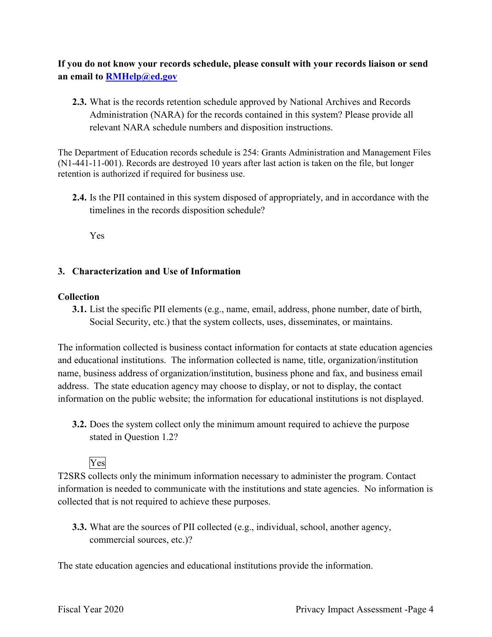**If you do not know your records schedule, please consult with your records liaison or send an email to [RMHelp@ed.gov](mailto:RMHelp@ed.gov)** 

 **2.3.** What is the records retention schedule approved by National Archives and Records Administration (NARA) for the records contained in this system? Please provide all relevant NARA schedule numbers and disposition instructions.

The Department of Education records schedule is 254: Grants Administration and Management Files (N1-441-11-001). Records are destroyed 10 years after last action is taken on the file, but longer retention is authorized if required for business use.

**2.4.** Is the PII contained in this system disposed of appropriately, and in accordance with the timelines in the records disposition schedule?

Yes

### **3. Characterization and Use of Information**

### **Collection**

**3.1.** List the specific PII elements (e.g., name, email, address, phone number, date of birth, Social Security, etc.) that the system collects, uses, disseminates, or maintains.

 address. The state education agency may choose to display, or not to display, the contact information on the public website; the information for educational institutions is not displayed. The information collected is business contact information for contacts at state education agencies and educational institutions. The information collected is name, title, organization/institution name, business address of organization/institution, business phone and fax, and business email

stated in Question 1.2?<br>Yes **3.2.** Does the system collect only the minimum amount required to achieve the purpose

T2SRS collects only the minimum information necessary to administer the program. Contact information is needed to communicate with the institutions and state agencies. No information is collected that is not required to achieve these purposes.

**3.3.** What are the sources of PII collected (e.g., individual, school, another agency, commercial sources, etc.)?

The state education agencies and educational institutions provide the information.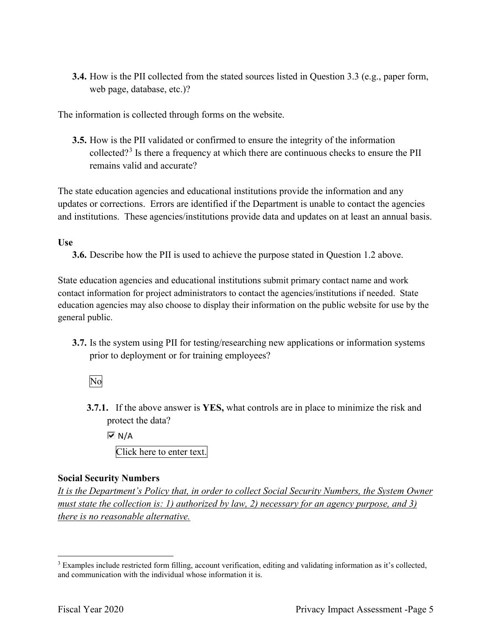**3.4.** How is the PII collected from the stated sources listed in Question 3.3 (e.g., paper form, web page, database, etc.)?

The information is collected through forms on the website.

**3.5.** How is the PII validated or confirmed to ensure the integrity of the information collected?<sup>3</sup> Is there a frequency at which there are continuous checks to ensure the PII remains valid and accurate?

 The state education agencies and educational institutions provide the information and any and institutions. These agencies/institutions provide data and updates on at least an annual basis. updates or corrections. Errors are identified if the Department is unable to contact the agencies

### **Use**

**3.6.** Describe how the PII is used to achieve the purpose stated in Question 1.2 above.

 contact information for project administrators to contact the agencies/institutions if needed. State State education agencies and educational institutions submit primary contact name and work education agencies may also choose to display their information on the public website for use by the general public.

prior to deployment or for training employees?<br>No **3.7.** Is the system using PII for testing/researching new applications or information systems

**3.7.1.** If the above answer is **YES,** what controls are in place to minimize the risk and protect the data?

 Click here to enter text.  $\overline{M}$  N/A

# **Social Security Numbers**

*It is the Department's Policy that, in order to collect Social Security Numbers, the System Owner must state the collection is: 1) authorized by law, 2) necessary for an agency purpose, and 3) there is no reasonable alternative.* 

 $\overline{a}$ and communication with the individual whose information it is. 3 Examples include restricted form filling, account verification, editing and validating information as it's collected, and communication with the individual whose information it is.<br>Fiscal Year 2020 Privacy Impact Assessment -Page 5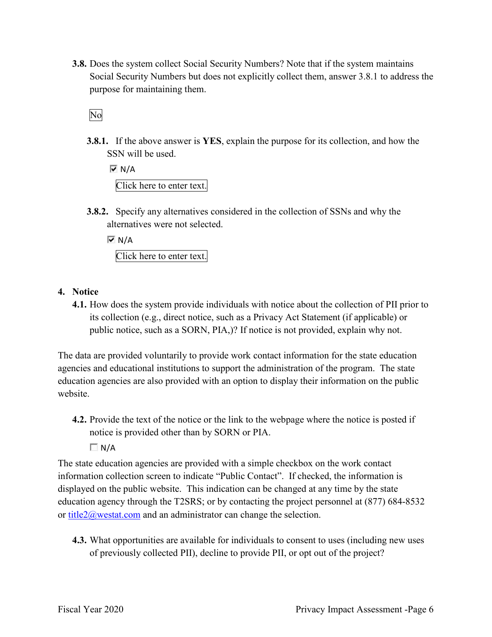**3.8.** Does the system collect Social Security Numbers? Note that if the system maintains Social Security Numbers but does not explicitly collect them, answer 3.8.1 to address the purpose for maintaining them.

No

**3.8.1.** If the above answer is **YES**, explain the purpose for its collection, and how the SSN will be used.

 $\overline{M}$  N/A Click here to enter text.

**3.8.2.** Specify any alternatives considered in the collection of SSNs and why the alternatives were not selected.

 $\overline{M}$  N/A Click here to enter text.

- **4. Notice** 
	- its collection (e.g., direct notice, such as a Privacy Act Statement (if applicable) or public notice, such as a SORN, PIA,)? If notice is not provided, explain why not. **4.1.** How does the system provide individuals with notice about the collection of PII prior to

 agencies and educational institutions to support the administration of the program. The state The data are provided voluntarily to provide work contact information for the state education education agencies are also provided with an option to display their information on the public website.

- **4.2.** Provide the text of the notice or the link to the webpage where the notice is posted if notice is provided other than by SORN or PIA.
	- $\Box$  N/A

 displayed on the public website. This indication can be changed at any time by the state education agency through the T2SRS; or by contacting the project personnel at (877) 684-8532 The state education agencies are provided with a simple checkbox on the work contact information collection screen to indicate "Public Contact". If checked, the information is or title $2\omega$  westat.com and an administrator can change the selection.

**4.3.** What opportunities are available for individuals to consent to uses (including new uses of previously collected PII), decline to provide PII, or opt out of the project?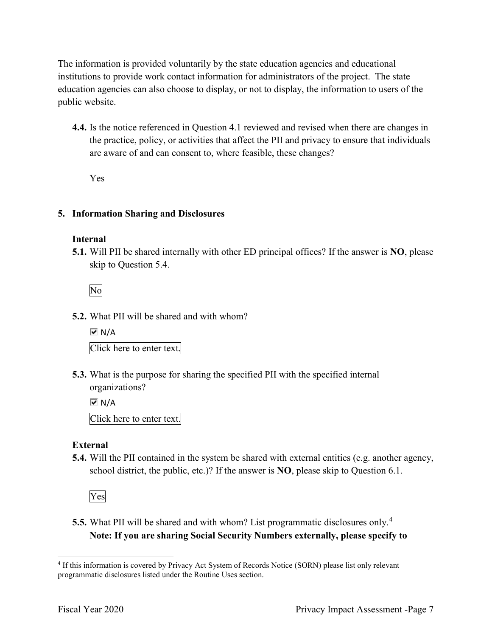public website. The information is provided voluntarily by the state education agencies and educational institutions to provide work contact information for administrators of the project. The state education agencies can also choose to display, or not to display, the information to users of the

 are aware of and can consent to, where feasible, these changes? **4.4.** Is the notice referenced in Question 4.1 reviewed and revised when there are changes in the practice, policy, or activities that affect the PII and privacy to ensure that individuals

Yes

### **5. Information Sharing and Disclosures**

### **Internal**

 **5.1.** Will PII be shared internally with other ED principal offices? If the answer is **NO**, please skip to Question 5.4.

No

**5.2.** What PII will be shared and with whom?

 Click here to enter text.  $\overline{M}$  N/A

 organizations? **5.3.** What is the purpose for sharing the specified PII with the specified internal

 Click here to enter text.  $\overline{M}$  N/A

### **External**

**5.4.** Will the PII contained in the system be shared with external entities (e.g. another agency, school district, the public, etc.)? If the answer is **NO**, please skip to Question 6.1.

Yes

 **5.5.** What PII will be shared and with whom? List programmatic disclosures only.<sup>4</sup> **Note: If you are sharing Social Security Numbers externally, please specify to** 

<sup>-</sup> 4 If this information is covered by Privacy Act System of Records Notice (SORN) please list only relevant programmatic disclosures listed under the Routine Uses section.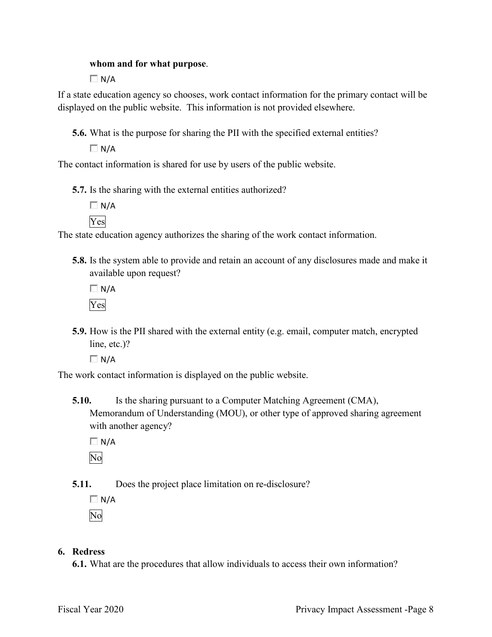### **whom and for what purpose**.

 $\Box$  N/A

 displayed on the public website. This information is not provided elsewhere. If a state education agency so chooses, work contact information for the primary contact will be

**5.6.** What is the purpose for sharing the PII with the specified external entities?

 $\Box N/A$ 

The contact information is shared for use by users of the public website.

**5.7.** Is the sharing with the external entities authorized?

 $\Box$  N/A Yes

The state education agency authorizes the sharing of the work contact information.

**5.8.** Is the system able to provide and retain an account of any disclosures made and make it available upon request?

 $\Box$  N/A Yes

 **5.9.** How is the PII shared with the external entity (e.g. email, computer match, encrypted line, etc.)?

 $\Box$  N/A

The work contact information is displayed on the public website.

 Memorandum of Understanding (MOU), or other type of approved sharing agreement **5.10.** Is the sharing pursuant to a Computer Matching Agreement (CMA), with another agency?

 $\Box$  N/A No

**5.11.** Does the project place limitation on re-disclosure?

 $\Box$  N/A

No

### **6. Redress**

**6.1.** What are the procedures that allow individuals to access their own information?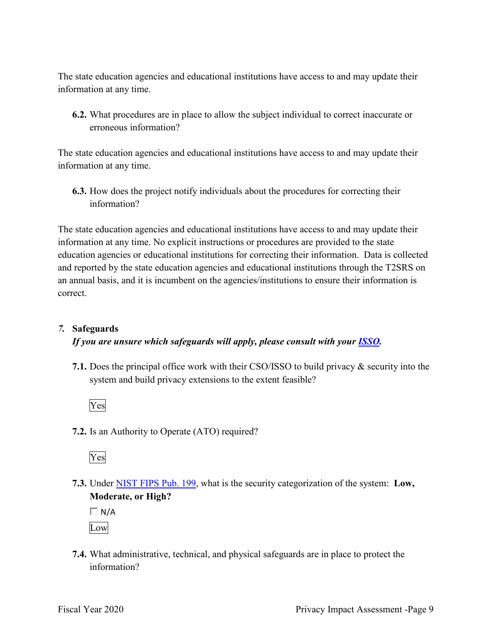The state education agencies and educational institutions have access to and may update their information at any time.

 **6.2.** What procedures are in place to allow the subject individual to correct inaccurate or erroneous information?

 The state education agencies and educational institutions have access to and may update their information at any time.

**6.3.** How does the project notify individuals about the procedures for correcting their information?

 The state education agencies and educational institutions have access to and may update their information at any time. No explicit instructions or procedures are provided to the state education agencies or educational institutions for correcting their information. Data is collected and reported by the state education agencies and educational institutions through the T2SRS on an annual basis, and it is incumbent on the agencies/institutions to ensure their information is correct.

### *7.* **Safeguards**

### *If you are unsure which safeguards will apply, please consult with your ISSO.*

**7.1.** Does the principal office work with their CSO/ISSO to build privacy & security into the system and build privacy extensions to the extent feasible?



**7.2.** Is an Authority to Operate (ATO) required?



**7.3.** Under NIST FIPS Pub. 199, what is the security categorization of the system: **Low, Moderate, or High?** 

 $\Box$  N/A Low

**7.4.** What administrative, technical, and physical safeguards are in place to protect the information?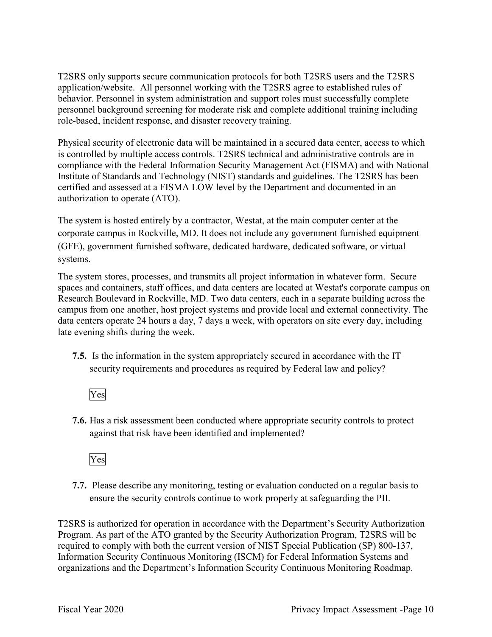T2SRS only supports secure communication protocols for both T2SRS users and the T2SRS application/website. All personnel working with the T2SRS agree to established rules of behavior. Personnel in system administration and support roles must successfully complete personnel background screening for moderate risk and complete additional training including role-based, incident response, and disaster recovery training.

Physical security of electronic data will be maintained in a secured data center, access to which is controlled by multiple access controls. T2SRS technical and administrative controls are in compliance with the Federal Information Security Management Act (FISMA) and with National Institute of Standards and Technology (NIST) standards and guidelines. The T2SRS has been certified and assessed at a FISMA LOW level by the Department and documented in an authorization to operate (ATO).

 The system is hosted entirely by a contractor, Westat, at the main computer center at the corporate campus in Rockville, MD. It does not include any government furnished equipment (GFE), government furnished software, dedicated hardware, dedicated software, or virtual systems.

The system stores, processes, and transmits all project information in whatever form. Secure spaces and containers, staff offices, and data centers are located at Westat's corporate campus on Research Boulevard in Rockville, MD. Two data centers, each in a separate building across the campus from one another, host project systems and provide local and external connectivity. The data centers operate 24 hours a day, 7 days a week, with operators on site every day, including late evening shifts during the week.

 **7.5.** Is the information in the system appropriately secured in accordance with the IT security requirements and procedures as required by Federal law and policy?

Yes

**7.6.** Has a risk assessment been conducted where appropriate security controls to protect against that risk have been identified and implemented?

Yes

 ensure the security controls continue to work properly at safeguarding the PII. **7.7.** Please describe any monitoring, testing or evaluation conducted on a regular basis to

 T2SRS is authorized for operation in accordance with the Department's Security Authorization Program. As part of the ATO granted by the Security Authorization Program, T2SRS will be required to comply with both the current version of NIST Special Publication (SP) 800-137, Information Security Continuous Monitoring (ISCM) for Federal Information Systems and organizations and the Department's Information Security Continuous Monitoring Roadmap.